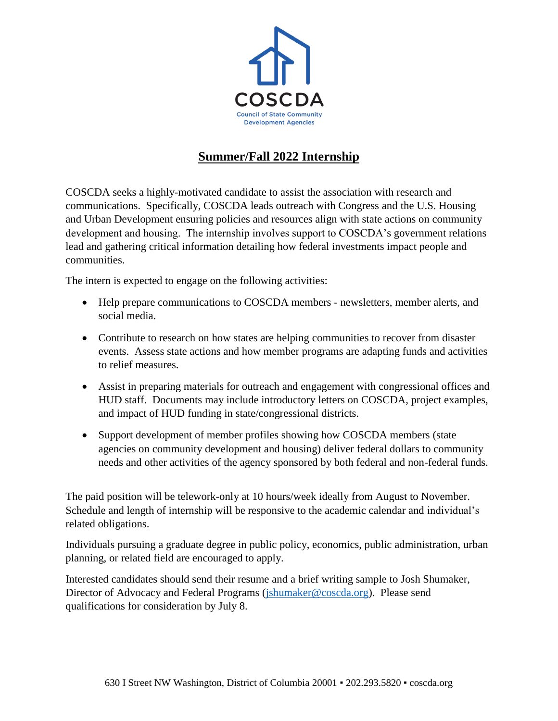

## **Summer/Fall 2022 Internship**

COSCDA seeks a highly-motivated candidate to assist the association with research and communications. Specifically, COSCDA leads outreach with Congress and the U.S. Housing and Urban Development ensuring policies and resources align with state actions on community development and housing. The internship involves support to COSCDA's government relations lead and gathering critical information detailing how federal investments impact people and communities.

The intern is expected to engage on the following activities:

- Help prepare communications to COSCDA members newsletters, member alerts, and social media.
- Contribute to research on how states are helping communities to recover from disaster events. Assess state actions and how member programs are adapting funds and activities to relief measures.
- Assist in preparing materials for outreach and engagement with congressional offices and HUD staff. Documents may include introductory letters on COSCDA, project examples, and impact of HUD funding in state/congressional districts.
- Support development of member profiles showing how COSCDA members (state agencies on community development and housing) deliver federal dollars to community needs and other activities of the agency sponsored by both federal and non-federal funds.

The paid position will be telework-only at 10 hours/week ideally from August to November. Schedule and length of internship will be responsive to the academic calendar and individual's related obligations.

Individuals pursuing a graduate degree in public policy, economics, public administration, urban planning, or related field are encouraged to apply.

Interested candidates should send their resume and a brief writing sample to Josh Shumaker, Director of Advocacy and Federal Programs [\(jshumaker@coscda.org\)](mailto:jshumaker@coscda.org). Please send qualifications for consideration by July 8.